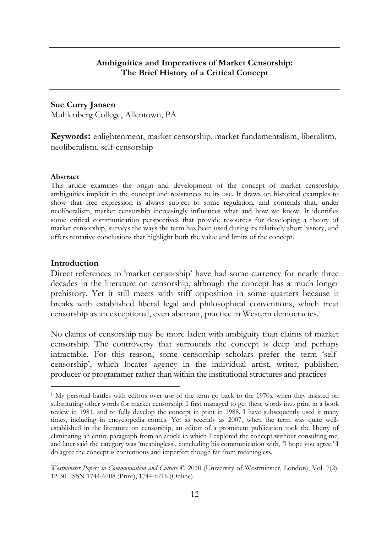## **Ambiguities and Imperatives of Market Censorship: The Brief History of a Critical Concept**

### **Sue Curry Jansen**

Muhlenberg College, Allentown, PA

**Keywords:** enlightenment, market censorship, market fundamentalism, liberalism, neoliberalism, self-censorship

#### **Abstract**

This article examines the origin and development of the concept of market censorship, ambiguities implicit in the concept and resistances to its use. It draws on historical examples to show that free expression is always subject to some regulation, and contends that, under neoliberalism, market censorship increasingly influences what and how we know. It identifies some critical communication perspectives that provide resources for developing a theory of market censorship, surveys the ways the term has been used during its relatively short history, and offers tentative conclusions that highlight both the value and limits of the concept.

### **Introduction**

 $\overline{a}$ 

Direct references to 'market censorship' have had some currency for nearly three decades in the literature on censorship, although the concept has a much longer prehistory. Yet it still meets with stiff opposition in some quarters because it breaks with established liberal legal and philosophical conventions, which treat censorship as an exceptional, even aberrant, practice in Western democracies.<sup>1</sup>

No claims of censorship may be more laden with ambiguity than claims of market censorship. The controversy that surrounds the concept is deep and perhaps intractable. For this reason, some censorship scholars prefer the term 'selfcensorship', which locates agency in the individual artist, writer, publisher, producer or programmer rather than within the institutional structures and practices

<sup>&</sup>lt;sup>1</sup> My personal battles with editors over use of the term go back to the 1970s, when they insisted on substituting other words for market censorship. I first managed to get these words into print in a book review in 1981, and to fully develop the concept in print in 1988. I have subsequently used it many times, including in encyclopedia entries. Yet as recently as 2007, when the term was quite wellestablished in the literature on censorship, an editor of a prominent publication took the liberty of eliminating an entire paragraph from an article in which I explored the concept without consulting me, and later said the category was 'meaningless', concluding his communication with, 'I hope you agree.' I do agree the concept is contentious and imperfect though far from meaningless.

*\_\_\_\_\_\_\_\_\_\_\_\_\_\_\_\_\_\_\_\_\_\_\_\_\_\_\_\_\_\_ Westminster Papers in Communication and Culture* © 2010 (University of Westminster, London), Vol. 7(2): 12-30. ISSN 1744-6708 (Print); 1744-6716 (Online)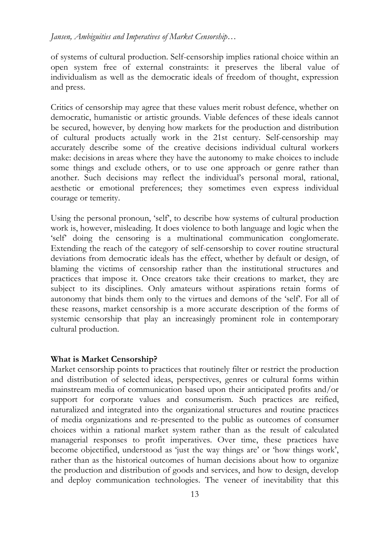## *Jansen, Ambiguities and Imperatives of Market Censorship…*

of systems of cultural production. Self-censorship implies rational choice within an open system free of external constraints: it preserves the liberal value of individualism as well as the democratic ideals of freedom of thought, expression and press.

Critics of censorship may agree that these values merit robust defence, whether on democratic, humanistic or artistic grounds. Viable defences of these ideals cannot be secured, however, by denying how markets for the production and distribution of cultural products actually work in the 21st century. Self-censorship may accurately describe some of the creative decisions individual cultural workers make: decisions in areas where they have the autonomy to make choices to include some things and exclude others, or to use one approach or genre rather than another. Such decisions may reflect the individual's personal moral, rational, aesthetic or emotional preferences; they sometimes even express individual courage or temerity.

Using the personal pronoun, 'self', to describe how systems of cultural production work is, however, misleading. It does violence to both language and logic when the 'self' doing the censoring is a multinational communication conglomerate. Extending the reach of the category of self-censorship to cover routine structural deviations from democratic ideals has the effect, whether by default or design, of blaming the victims of censorship rather than the institutional structures and practices that impose it. Once creators take their creations to market, they are subject to its disciplines. Only amateurs without aspirations retain forms of autonomy that binds them only to the virtues and demons of the 'self'. For all of these reasons, market censorship is a more accurate description of the forms of systemic censorship that play an increasingly prominent role in contemporary cultural production.

### **What is Market Censorship?**

Market censorship points to practices that routinely filter or restrict the production and distribution of selected ideas, perspectives, genres or cultural forms within mainstream media of communication based upon their anticipated profits and/or support for corporate values and consumerism. Such practices are reified, naturalized and integrated into the organizational structures and routine practices of media organizations and re-presented to the public as outcomes of consumer choices within a rational market system rather than as the result of calculated managerial responses to profit imperatives. Over time, these practices have become objectified, understood as 'just the way things are' or 'how things work', rather than as the historical outcomes of human decisions about how to organize the production and distribution of goods and services, and how to design, develop and deploy communication technologies. The veneer of inevitability that this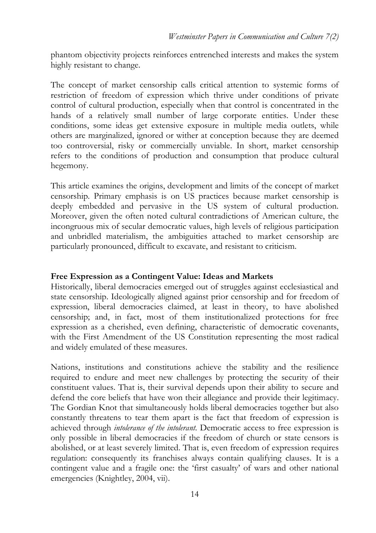phantom objectivity projects reinforces entrenched interests and makes the system highly resistant to change.

The concept of market censorship calls critical attention to systemic forms of restriction of freedom of expression which thrive under conditions of private control of cultural production, especially when that control is concentrated in the hands of a relatively small number of large corporate entities. Under these conditions, some ideas get extensive exposure in multiple media outlets, while others are marginalized, ignored or wither at conception because they are deemed too controversial, risky or commercially unviable. In short, market censorship refers to the conditions of production and consumption that produce cultural hegemony.

This article examines the origins, development and limits of the concept of market censorship. Primary emphasis is on US practices because market censorship is deeply embedded and pervasive in the US system of cultural production. Moreover, given the often noted cultural contradictions of American culture, the incongruous mix of secular democratic values, high levels of religious participation and unbridled materialism, the ambiguities attached to market censorship are particularly pronounced, difficult to excavate, and resistant to criticism.

### **Free Expression as a Contingent Value: Ideas and Markets**

Historically, liberal democracies emerged out of struggles against ecclesiastical and state censorship. Ideologically aligned against prior censorship and for freedom of expression, liberal democracies claimed, at least in theory, to have abolished censorship; and, in fact, most of them institutionalized protections for free expression as a cherished, even defining, characteristic of democratic covenants, with the First Amendment of the US Constitution representing the most radical and widely emulated of these measures.

Nations, institutions and constitutions achieve the stability and the resilience required to endure and meet new challenges by protecting the security of their constituent values. That is, their survival depends upon their ability to secure and defend the core beliefs that have won their allegiance and provide their legitimacy. The Gordian Knot that simultaneously holds liberal democracies together but also constantly threatens to tear them apart is the fact that freedom of expression is achieved through *intolerance of the intolerant.* Democratic access to free expression is only possible in liberal democracies if the freedom of church or state censors is abolished, or at least severely limited. That is, even freedom of expression requires regulation: consequently its franchises always contain qualifying clauses. It is a contingent value and a fragile one: the 'first casualty' of wars and other national emergencies (Knightley, 2004, vii).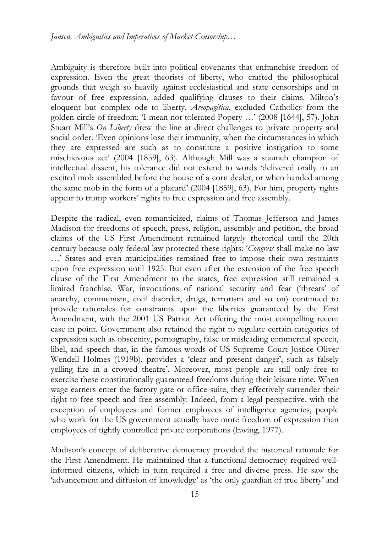Ambiguity is therefore built into political covenants that enfranchise freedom of expression. Even the great theorists of liberty, who crafted the philosophical grounds that weigh so heavily against ecclesiastical and state censorships and in favour of free expression, added qualifying clauses to their claims. Milton's eloquent but complex ode to liberty, *Areopagitica*, excluded Catholics from the golden circle of freedom: 'I mean not tolerated Popery …' (2008 [1644], 57). John Stuart Mill's *On Liberty* drew the line at direct challenges to private property and social order: 'Even opinions lose their immunity, when the circumstances in which they are expressed are such as to constitute a positive instigation to some mischievous act' (2004 [1859], 63). Although Mill was a staunch champion of intellectual dissent, his tolerance did not extend to words 'delivered orally to an excited mob assembled before the house of a corn dealer, or when handed among the same mob in the form of a placard' (2004 [1859], 63). For him, property rights appear to trump workers' rights to free expression and free assembly.

Despite the radical, even romanticized, claims of Thomas Jefferson and James Madison for freedoms of speech, press, religion, assembly and petition, the broad claims of the US First Amendment remained largely rhetorical until the 20th century because only federal law protected these rights: '*Congress* shall make no law …' States and even municipalities remained free to impose their own restraints upon free expression until 1925. But even after the extension of the free speech clause of the First Amendment to the states, free expression still remained a limited franchise. War, invocations of national security and fear ('threats' of anarchy, communism, civil disorder, drugs, terrorism and so on) continued to provide rationales for constraints upon the liberties guaranteed by the First Amendment, with the 2001 US Patriot Act offering the most compelling recent case in point. Government also retained the right to regulate certain categories of expression such as obscenity, pornography, false or misleading commercial speech, libel, and speech that, in the famous words of US Supreme Court Justice Oliver Wendell Holmes (1919b), provides a 'clear and present danger', such as falsely yelling fire in a crowed theatre'. Moreover, most people are still only free to exercise these constitutionally guaranteed freedoms during their leisure time. When wage earners enter the factory gate or office suite, they effectively surrender their right to free speech and free assembly. Indeed, from a legal perspective, with the exception of employees and former employees of intelligence agencies, people who work for the US government actually have more freedom of expression than employees of tightly controlled private corporations (Ewing, 1977).

Madison's concept of deliberative democracy provided the historical rationale for the First Amendment. He maintained that a functional democracy required wellinformed citizens, which in turn required a free and diverse press. He saw the 'advancement and diffusion of knowledge' as 'the only guardian of true liberty' and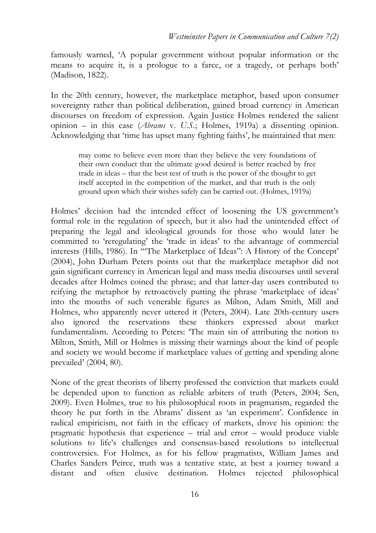famously warned, 'A popular government without popular information or the means to acquire it, is a prologue to a farce, or a tragedy, or perhaps both' (Madison, 1822).

In the 20th century, however, the marketplace metaphor, based upon consumer sovereignty rather than political deliberation, gained broad currency in American discourses on freedom of expression. Again Justice Holmes rendered the salient opinion – in this case (*Abrams* v. *U.S.*; Holmes, 1919a) a dissenting opinion. Acknowledging that 'time has upset many fighting faiths', he maintained that men:

may come to believe even more than they believe the very foundations of their own conduct that the ultimate good desired is better reached by free trade in ideas – that the best test of truth is the power of the thought to get itself accepted in the competition of the market, and that truth is the only ground upon which their wishes safely can be carried out. (Holmes, 1919a)

Holmes' decision had the intended effect of loosening the US government's formal role in the regulation of speech, but it also had the unintended effect of preparing the legal and ideological grounds for those who would later be committed to 'reregulating' the 'trade in ideas' to the advantage of commercial interests (Hills, 1986). In "The Marketplace of Ideas": A History of the Concept' (2004), John Durham Peters points out that the marketplace metaphor did not gain significant currency in American legal and mass media discourses until several decades after Holmes coined the phrase; and that latter-day users contributed to reifying the metaphor by retroactively putting the phrase 'marketplace of ideas' into the mouths of such venerable figures as Milton, Adam Smith, Mill and Holmes, who apparently never uttered it (Peters, 2004). Late 20th-century users also ignored the reservations these thinkers expressed about market fundamentalism. According to Peters: 'The main sin of attributing the notion to Milton, Smith, Mill or Holmes is missing their warnings about the kind of people and society we would become if marketplace values of getting and spending alone prevailed' (2004, 80).

None of the great theorists of liberty professed the conviction that markets could be depended upon to function as reliable arbiters of truth (Peters, 2004; Sen, 2009). Even Holmes, true to his philosophical roots in pragmatism, regarded the theory he put forth in the Abrams' dissent as 'an experiment'. Confidence in radical empiricism, not faith in the efficacy of markets, drove his opinion: the pragmatic hypothesis that experience – trial and error – would produce viable solutions to life's challenges and consensus-based resolutions to intellectual controversies. For Holmes, as for his fellow pragmatists, William James and Charles Sanders Peirce, truth was a tentative state, at best a journey toward a distant and often elusive destination. Holmes rejected philosophical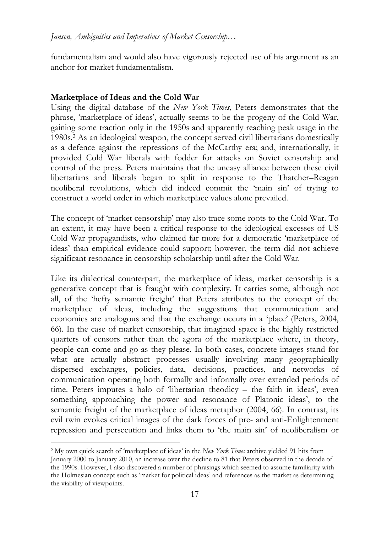fundamentalism and would also have vigorously rejected use of his argument as an anchor for market fundamentalism.

# **Marketplace of Ideas and the Cold War**

Using the digital database of the *New York Times,* Peters demonstrates that the phrase, 'marketplace of ideas', actually seems to be the progeny of the Cold War, gaining some traction only in the 1950s and apparently reaching peak usage in the 1980s.<sup>2</sup> As an ideological weapon, the concept served civil libertarians domestically as a defence against the repressions of the McCarthy era; and, internationally, it provided Cold War liberals with fodder for attacks on Soviet censorship and control of the press. Peters maintains that the uneasy alliance between these civil libertarians and liberals began to split in response to the Thatcher–Reagan neoliberal revolutions, which did indeed commit the 'main sin' of trying to construct a world order in which marketplace values alone prevailed.

The concept of 'market censorship' may also trace some roots to the Cold War. To an extent, it may have been a critical response to the ideological excesses of US Cold War propagandists, who claimed far more for a democratic 'marketplace of ideas' than empirical evidence could support; however, the term did not achieve significant resonance in censorship scholarship until after the Cold War.

Like its dialectical counterpart, the marketplace of ideas, market censorship is a generative concept that is fraught with complexity. It carries some, although not all, of the 'hefty semantic freight' that Peters attributes to the concept of the marketplace of ideas, including the suggestions that communication and economics are analogous and that the exchange occurs in a 'place' (Peters, 2004, 66). In the case of market censorship, that imagined space is the highly restricted quarters of censors rather than the agora of the marketplace where, in theory, people can come and go as they please. In both cases, concrete images stand for what are actually abstract processes usually involving many geographically dispersed exchanges, policies, data, decisions, practices, and networks of communication operating both formally and informally over extended periods of time. Peters imputes a halo of 'libertarian theodicy – the faith in ideas', even something approaching the power and resonance of Platonic ideas', to the semantic freight of the marketplace of ideas metaphor (2004, 66). In contrast, its evil twin evokes critical images of the dark forces of pre- and anti-Enlightenment repression and persecution and links them to 'the main sin' of neoliberalism or

 $\overline{a}$ 2 My own quick search of 'marketplace of ideas' in the *New York Times* archive yielded 91 hits from January 2000 to January 2010, an increase over the decline to 81 that Peters observed in the decade of the 1990s. However, I also discovered a number of phrasings which seemed to assume familiarity with the Holmesian concept such as 'market for political ideas' and references as the market as determining the viability of viewpoints.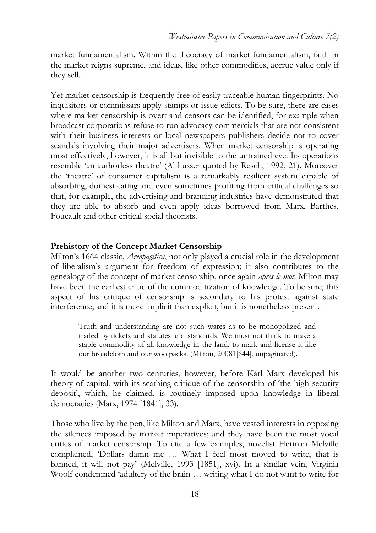market fundamentalism. Within the theocracy of market fundamentalism, faith in the market reigns supreme, and ideas, like other commodities, accrue value only if they sell.

Yet market censorship is frequently free of easily traceable human fingerprints. No inquisitors or commissars apply stamps or issue edicts. To be sure, there are cases where market censorship is overt and censors can be identified, for example when broadcast corporations refuse to run advocacy commercials that are not consistent with their business interests or local newspapers publishers decide not to cover scandals involving their major advertisers. When market censorship is operating most effectively, however, it is all but invisible to the untrained eye. Its operations resemble 'an authorless theatre' (Althusser quoted by Resch, 1992, 21). Moreover the 'theatre' of consumer capitalism is a remarkably resilient system capable of absorbing, domesticating and even sometimes profiting from critical challenges so that, for example, the advertising and branding industries have demonstrated that they are able to absorb and even apply ideas borrowed from Marx, Barthes, Foucault and other critical social theorists.

## **Prehistory of the Concept Market Censorship**

Milton's 1664 classic, *Areopagitica*, not only played a crucial role in the development of liberalism's argument for freedom of expression; it also contributes to the genealogy of the concept of market censorship, once again *après le mot*. Milton may have been the earliest critic of the commoditization of knowledge. To be sure, this aspect of his critique of censorship is secondary to his protest against state interference; and it is more implicit than explicit, but it is nonetheless present.

Truth and understanding are not such wares as to be monopolized and traded by tickets and statutes and standards. We must not think to make a staple commodity of all knowledge in the land, to mark and license it like our broadcloth and our woolpacks. (Milton, 20081[644], unpaginated).

It would be another two centuries, however, before Karl Marx developed his theory of capital, with its scathing critique of the censorship of 'the high security deposit', which, he claimed, is routinely imposed upon knowledge in liberal democracies (Marx, 1974 [1841], 33).

Those who live by the pen, like Milton and Marx, have vested interests in opposing the silences imposed by market imperatives; and they have been the most vocal critics of market censorship. To cite a few examples, novelist Herman Melville complained, 'Dollars damn me … What I feel most moved to write, that is banned, it will not pay' (Melville, 1993 [1851], xvi). In a similar vein, Virginia Woolf condemned 'adultery of the brain … writing what I do not want to write for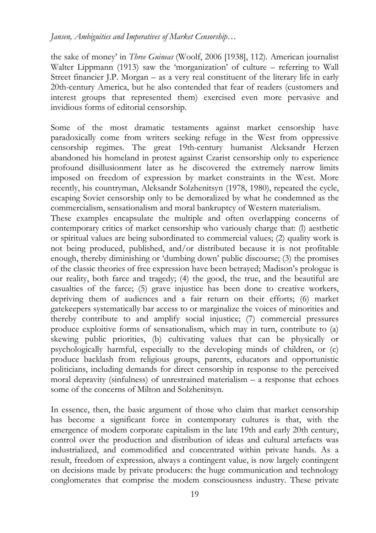*Jansen, Ambiguities and Imperatives of Market Censorship…* 

the sake of money' in *Three Guineas* (Woolf, 2006 [1938], 112). American journalist Walter Lippmann (1913) saw the 'morganization' of culture – referring to Wall Street financier J.P. Morgan – as a very real constituent of the literary life in early 20th-century America, but he also contended that fear of readers (customers and interest groups that represented them) exercised even more pervasive and invidious forms of editorial censorship.

Some of the most dramatic testaments against market censorship have paradoxically come from writers seeking refuge in the West from oppressive censorship regimes. The great 19th-century humanist Aleksandr Herzen abandoned his homeland in protest against Czarist censorship only to experience profound disillusionment later as he discovered the extremely narrow limits imposed on freedom of expression by market constraints in the West. More recently, his countryman, Aleksandr Solzhenitsyn (1978, 1980), repeated the cycle, escaping Soviet censorship only to be demoralized by what he condemned as the commercialism, sensationalism and moral bankruptcy of Western materialism.

These examples encapsulate the multiple and often overlapping concerns of contemporary critics of market censorship who variously charge that: (l) aesthetic or spiritual values are being subordinated to commercial values; (2) quality work is not being produced, published, and/or distributed because it is not profitable enough, thereby diminishing or 'dumbing down' public discourse; (3) the promises of the classic theories of free expression have been betrayed; Madison's prologue is our reality, both farce and tragedy; (4) the good, the true, and the beautiful are casualties of the farce; (5) grave injustice has been done to creative workers, depriving them of audiences and a fair return on their efforts; (6) market gatekeepers systematically bar access to or marginalize the voices of minorities and thereby contribute to and amplify social injustice; (7) commercial pressures produce exploitive forms of sensationalism, which may in turn, contribute to (a) skewing public priorities, (b) cultivating values that can be physically or psychologically harmful, especially to the developing minds of children, or (c) produce backlash from religious groups, parents, educators and opportunistic politicians, including demands for direct censorship in response to the perceived moral depravity (sinfulness) of unrestrained materialism – a response that echoes some of the concerns of Milton and Solzhenitsyn.

In essence, then, the basic argument of those who claim that market censorship has become a significant force in contemporary cultures is that, with the emergence of modem corporate capitalism in the late 19th and early 20th century, control over the production and distribution of ideas and cultural artefacts was industrialized, and commodified and concentrated within private hands. As a result, freedom of expression, always a contingent value, is now largely contingent on decisions made by private producers: the huge communication and technology conglomerates that comprise the modem consciousness industry. These private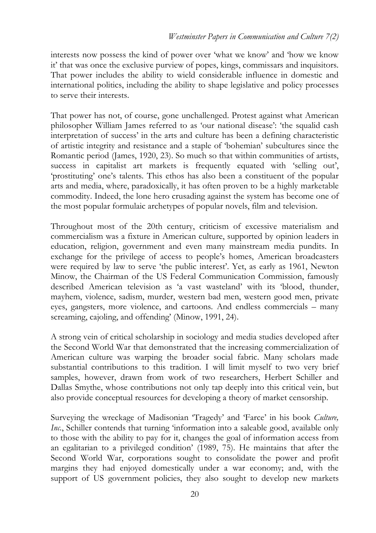interests now possess the kind of power over 'what we know' and 'how we know it' that was once the exclusive purview of popes, kings, commissars and inquisitors. That power includes the ability to wield considerable influence in domestic and international politics, including the ability to shape legislative and policy processes to serve their interests.

That power has not, of course, gone unchallenged. Protest against what American philosopher William James referred to as 'our national disease': 'the squalid cash interpretation of success' in the arts and culture has been a defining characteristic of artistic integrity and resistance and a staple of 'bohemian' subcultures since the Romantic period (James, 1920, 23). So much so that within communities of artists, success in capitalist art markets is frequently equated with 'selling out', 'prostituting' one's talents. This ethos has also been a constituent of the popular arts and media, where, paradoxically, it has often proven to be a highly marketable commodity. Indeed, the lone hero crusading against the system has become one of the most popular formulaic archetypes of popular novels, film and television.

Throughout most of the 20th century, criticism of excessive materialism and commercialism was a fixture in American culture, supported by opinion leaders in education, religion, government and even many mainstream media pundits. In exchange for the privilege of access to people's homes, American broadcasters were required by law to serve 'the public interest'. Yet, as early as 1961, Newton Minow, the Chairman of the US Federal Communication Commission, famously described American television as 'a vast wasteland' with its 'blood, thunder, mayhem, violence, sadism, murder, western bad men, western good men, private eyes, gangsters, more violence, and cartoons. And endless commercials – many screaming, cajoling, and offending' (Minow, 1991, 24).

A strong vein of critical scholarship in sociology and media studies developed after the Second World War that demonstrated that the increasing commercialization of American culture was warping the broader social fabric. Many scholars made substantial contributions to this tradition. I will limit myself to two very brief samples, however, drawn from work of two researchers, Herbert Schiller and Dallas Smythe, whose contributions not only tap deeply into this critical vein, but also provide conceptual resources for developing a theory of market censorship.

Surveying the wreckage of Madisonian 'Tragedy' and 'Farce' in his book *Culture, Inc.*, Schiller contends that turning 'information into a saleable good, available only to those with the ability to pay for it, changes the goal of information access from an egalitarian to a privileged condition' (1989, 75). He maintains that after the Second World War, corporations sought to consolidate the power and profit margins they had enjoyed domestically under a war economy; and, with the support of US government policies, they also sought to develop new markets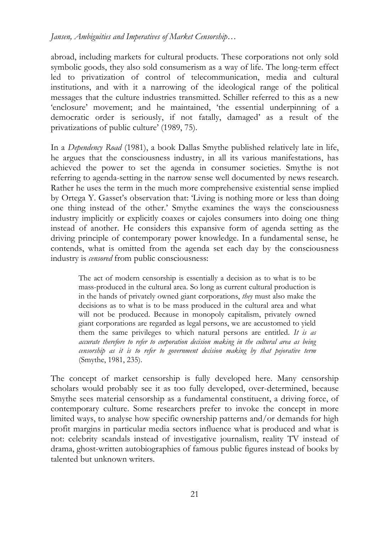*Jansen, Ambiguities and Imperatives of Market Censorship…* 

abroad, including markets for cultural products. These corporations not only sold symbolic goods, they also sold consumerism as a way of life. The long-term effect led to privatization of control of telecommunication, media and cultural institutions, and with it a narrowing of the ideological range of the political messages that the culture industries transmitted. Schiller referred to this as a new 'enclosure' movement; and he maintained, 'the essential underpinning of a democratic order is seriously, if not fatally, damaged' as a result of the privatizations of public culture' (1989, 75).

In a *Dependency Road* (1981), a book Dallas Smythe published relatively late in life, he argues that the consciousness industry, in all its various manifestations, has achieved the power to set the agenda in consumer societies. Smythe is not referring to agenda-setting in the narrow sense well documented by news research. Rather he uses the term in the much more comprehensive existential sense implied by Ortega Y. Gasset's observation that: 'Living is nothing more or less than doing one thing instead of the other.' Smythe examines the ways the consciousness industry implicitly or explicitly coaxes or cajoles consumers into doing one thing instead of another. He considers this expansive form of agenda setting as the driving principle of contemporary power knowledge. In a fundamental sense, he contends, what is omitted from the agenda set each day by the consciousness industry is *censored* from public consciousness:

The act of modern censorship is essentially a decision as to what is to be mass-produced in the cultural area. So long as current cultural production is in the hands of privately owned giant corporations, *they* must also make the decisions as to what is to be mass produced in the cultural area and what will not be produced. Because in monopoly capitalism, privately owned giant corporations are regarded as legal persons, we are accustomed to yield them the same privileges to which natural persons are entitled. *It is as accurate therefore to refer to corporation decision making in the cultural area as being censorship as it is to refer to government decision making by that pejorative term* (Smythe, 1981, 235).

The concept of market censorship is fully developed here. Many censorship scholars would probably see it as too fully developed, over-determined, because Smythe sees material censorship as a fundamental constituent, a driving force, of contemporary culture. Some researchers prefer to invoke the concept in more limited ways, to analyse how specific ownership patterns and/or demands for high profit margins in particular media sectors influence what is produced and what is not: celebrity scandals instead of investigative journalism, reality TV instead of drama, ghost-written autobiographies of famous public figures instead of books by talented but unknown writers.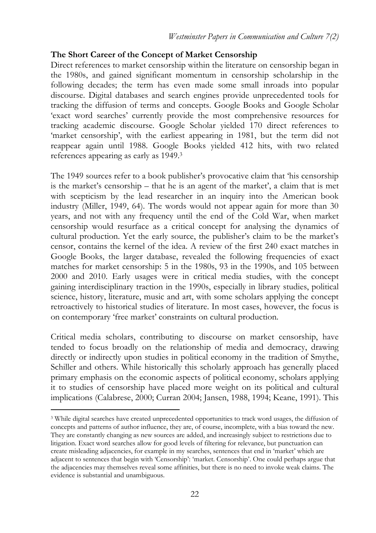# **The Short Career of the Concept of Market Censorship**

Direct references to market censorship within the literature on censorship began in the 1980s, and gained significant momentum in censorship scholarship in the following decades; the term has even made some small inroads into popular discourse. Digital databases and search engines provide unprecedented tools for tracking the diffusion of terms and concepts. Google Books and Google Scholar 'exact word searches' currently provide the most comprehensive resources for tracking academic discourse. Google Scholar yielded 170 direct references to 'market censorship', with the earliest appearing in 1981, but the term did not reappear again until 1988. Google Books yielded 412 hits, with two related references appearing as early as 1949.<sup>3</sup>

The 1949 sources refer to a book publisher's provocative claim that 'his censorship is the market's censorship – that he is an agent of the market', a claim that is met with scepticism by the lead researcher in an inquiry into the American book industry (Miller, 1949, 64). The words would not appear again for more than 30 years, and not with any frequency until the end of the Cold War, when market censorship would resurface as a critical concept for analysing the dynamics of cultural production. Yet the early source, the publisher's claim to be the market's censor, contains the kernel of the idea. A review of the first 240 exact matches in Google Books, the larger database, revealed the following frequencies of exact matches for market censorship: 5 in the 1980s, 93 in the 1990s, and 105 between 2000 and 2010. Early usages were in critical media studies, with the concept gaining interdisciplinary traction in the 1990s, especially in library studies, political science, history, literature, music and art, with some scholars applying the concept retroactively to historical studies of literature. In most cases, however, the focus is on contemporary 'free market' constraints on cultural production.

Critical media scholars, contributing to discourse on market censorship, have tended to focus broadly on the relationship of media and democracy, drawing directly or indirectly upon studies in political economy in the tradition of Smythe, Schiller and others. While historically this scholarly approach has generally placed primary emphasis on the economic aspects of political economy, scholars applying it to studies of censorship have placed more weight on its political and cultural implications (Calabrese, 2000; Curran 2004; Jansen, 1988, 1994; Keane, 1991). This

 $\overline{a}$ 

<sup>&</sup>lt;sup>3</sup> While digital searches have created unprecedented opportunities to track word usages, the diffusion of concepts and patterns of author influence, they are, of course, incomplete, with a bias toward the new. They are constantly changing as new sources are added, and increasingly subject to restrictions due to litigation. Exact word searches allow for good levels of filtering for relevance, but punctuation can create misleading adjacencies, for example in my searches, sentences that end in 'market' which are adjacent to sentences that begin with 'Censorship': 'market. Censorship'. One could perhaps argue that the adjacencies may themselves reveal some affinities, but there is no need to invoke weak claims. The evidence is substantial and unambiguous.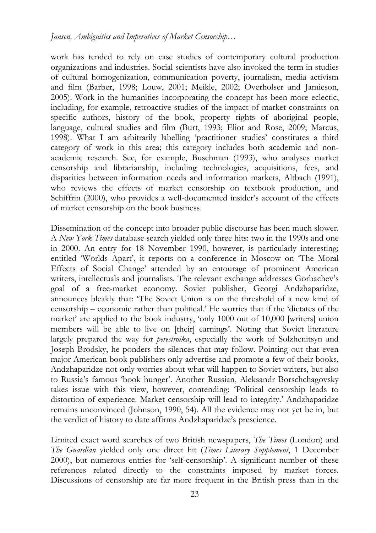work has tended to rely on case studies of contemporary cultural production organizations and industries. Social scientists have also invoked the term in studies of cultural homogenization, communication poverty, journalism, media activism and film (Barber, 1998; Louw, 2001; Meikle, 2002; Overholser and Jamieson, 2005). Work in the humanities incorporating the concept has been more eclectic, including, for example, retroactive studies of the impact of market constraints on specific authors, history of the book, property rights of aboriginal people, language, cultural studies and film (Burt, 1993; Eliot and Rose, 2009; Marcus, 1998). What I am arbitrarily labelling 'practitioner studies' constitutes a third category of work in this area; this category includes both academic and nonacademic research. See, for example, Buschman (1993), who analyses market censorship and librarianship, including technologies, acquisitions, fees, and disparities between information needs and information markets, Altbach (1991), who reviews the effects of market censorship on textbook production, and Schiffrin (2000), who provides a well-documented insider's account of the effects of market censorship on the book business.

Dissemination of the concept into broader public discourse has been much slower. A *New York Times* database search yielded only three hits: two in the 1990s and one in 2000. An entry for 18 November 1990, however, is particularly interesting; entitled 'Worlds Apart', it reports on a conference in Moscow on 'The Moral Effects of Social Change' attended by an entourage of prominent American writers, intellectuals and journalists. The relevant exchange addresses Gorbachev's goal of a free-market economy. Soviet publisher, Georgi Andzhaparidze, announces bleakly that: 'The Soviet Union is on the threshold of a new kind of censorship – economic rather than political.' He worries that if the 'dictates of the market' are applied to the book industry, 'only 1000 out of 10,000 [writers] union members will be able to live on [their] earnings'. Noting that Soviet literature largely prepared the way for *perestroika*, especially the work of Solzhenitsyn and Joseph Brodsky, he ponders the silences that may follow. Pointing out that even major American book publishers only advertise and promote a few of their books, Andzhaparidze not only worries about what will happen to Soviet writers, but also to Russia's famous 'book hunger'. Another Russian, Aleksandr Borschchagovsky takes issue with this view, however, contending: 'Political censorship leads to distortion of experience. Market censorship will lead to integrity.' Andzhaparidze remains unconvinced (Johnson, 1990, 54). All the evidence may not yet be in, but the verdict of history to date affirms Andzhaparidze's prescience.

Limited exact word searches of two British newspapers, *The Times* (London) and *The Guardian* yielded only one direct hit (*Times Literary Supplement*, 1 December 2000), but numerous entries for 'self-censorship'. A significant number of these references related directly to the constraints imposed by market forces. Discussions of censorship are far more frequent in the British press than in the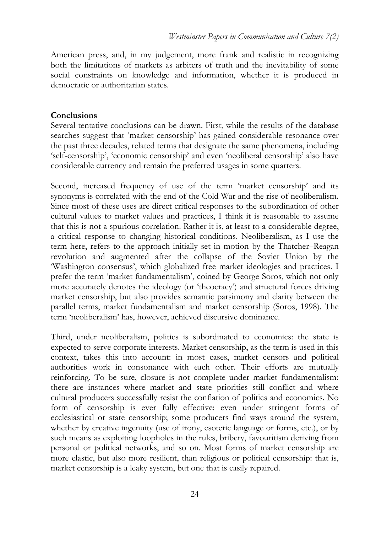American press, and, in my judgement, more frank and realistic in recognizing both the limitations of markets as arbiters of truth and the inevitability of some social constraints on knowledge and information, whether it is produced in democratic or authoritarian states.

## **Conclusions**

Several tentative conclusions can be drawn. First, while the results of the database searches suggest that 'market censorship' has gained considerable resonance over the past three decades, related terms that designate the same phenomena, including 'self-censorship', 'economic censorship' and even 'neoliberal censorship' also have considerable currency and remain the preferred usages in some quarters.

Second, increased frequency of use of the term 'market censorship' and its synonyms is correlated with the end of the Cold War and the rise of neoliberalism. Since most of these uses are direct critical responses to the subordination of other cultural values to market values and practices, I think it is reasonable to assume that this is not a spurious correlation. Rather it is, at least to a considerable degree, a critical response to changing historical conditions. Neoliberalism, as I use the term here, refers to the approach initially set in motion by the Thatcher–Reagan revolution and augmented after the collapse of the Soviet Union by the 'Washington consensus', which globalized free market ideologies and practices. I prefer the term 'market fundamentalism', coined by George Soros, which not only more accurately denotes the ideology (or 'theocracy') and structural forces driving market censorship, but also provides semantic parsimony and clarity between the parallel terms, market fundamentalism and market censorship (Soros, 1998). The term 'neoliberalism' has, however, achieved discursive dominance.

Third, under neoliberalism, politics is subordinated to economics: the state is expected to serve corporate interests. Market censorship, as the term is used in this context, takes this into account: in most cases, market censors and political authorities work in consonance with each other. Their efforts are mutually reinforcing. To be sure, closure is not complete under market fundamentalism: there are instances where market and state priorities still conflict and where cultural producers successfully resist the conflation of politics and economics. No form of censorship is ever fully effective: even under stringent forms of ecclesiastical or state censorship; some producers find ways around the system, whether by creative ingenuity (use of irony, esoteric language or forms, etc.), or by such means as exploiting loopholes in the rules, bribery, favouritism deriving from personal or political networks, and so on. Most forms of market censorship are more elastic, but also more resilient, than religious or political censorship: that is, market censorship is a leaky system, but one that is easily repaired.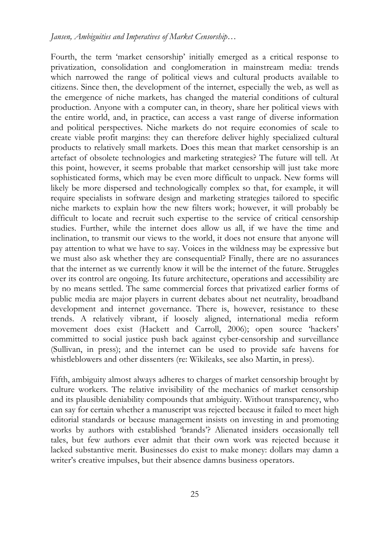Fourth, the term 'market censorship' initially emerged as a critical response to privatization, consolidation and conglomeration in mainstream media: trends which narrowed the range of political views and cultural products available to citizens. Since then, the development of the internet, especially the web, as well as the emergence of niche markets, has changed the material conditions of cultural production. Anyone with a computer can, in theory, share her political views with the entire world, and, in practice, can access a vast range of diverse information and political perspectives. Niche markets do not require economies of scale to create viable profit margins: they can therefore deliver highly specialized cultural products to relatively small markets. Does this mean that market censorship is an artefact of obsolete technologies and marketing strategies? The future will tell. At this point, however, it seems probable that market censorship will just take more sophisticated forms, which may be even more difficult to unpack. New forms will likely be more dispersed and technologically complex so that, for example, it will require specialists in software design and marketing strategies tailored to specific niche markets to explain how the new filters work; however, it will probably be difficult to locate and recruit such expertise to the service of critical censorship studies. Further, while the internet does allow us all, if we have the time and inclination, to transmit our views to the world, it does not ensure that anyone will pay attention to what we have to say. Voices in the wildness may be expressive but we must also ask whether they are consequential? Finally, there are no assurances that the internet as we currently know it will be the internet of the future. Struggles over its control are ongoing. Its future architecture, operations and accessibility are by no means settled. The same commercial forces that privatized earlier forms of public media are major players in current debates about net neutrality, broadband development and internet governance. There is, however, resistance to these trends. A relatively vibrant, if loosely aligned, international media reform movement does exist (Hackett and Carroll, 2006); open source 'hackers' committed to social justice push back against cyber-censorship and surveillance (Sullivan, in press); and the internet can be used to provide safe havens for whistleblowers and other dissenters (re: Wikileaks, see also Martin, in press).

Fifth, ambiguity almost always adheres to charges of market censorship brought by culture workers. The relative invisibility of the mechanics of market censorship and its plausible deniability compounds that ambiguity. Without transparency, who can say for certain whether a manuscript was rejected because it failed to meet high editorial standards or because management insists on investing in and promoting works by authors with established 'brands'? Alienated insiders occasionally tell tales, but few authors ever admit that their own work was rejected because it lacked substantive merit. Businesses do exist to make money: dollars may damn a writer's creative impulses, but their absence damns business operators.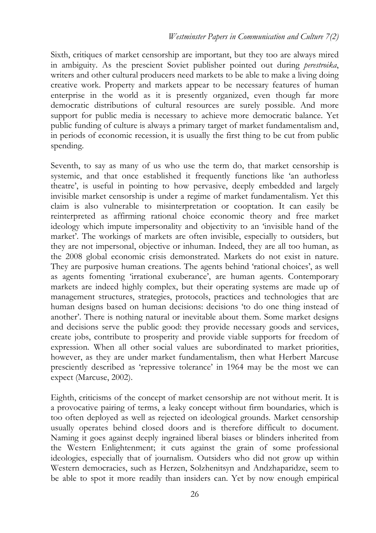Sixth, critiques of market censorship are important, but they too are always mired in ambiguity. As the prescient Soviet publisher pointed out during *perestroika*, writers and other cultural producers need markets to be able to make a living doing creative work. Property and markets appear to be necessary features of human enterprise in the world as it is presently organized, even though far more democratic distributions of cultural resources are surely possible. And more support for public media is necessary to achieve more democratic balance. Yet public funding of culture is always a primary target of market fundamentalism and, in periods of economic recession, it is usually the first thing to be cut from public spending.

Seventh, to say as many of us who use the term do, that market censorship is systemic, and that once established it frequently functions like 'an authorless theatre', is useful in pointing to how pervasive, deeply embedded and largely invisible market censorship is under a regime of market fundamentalism. Yet this claim is also vulnerable to misinterpretation or cooptation. It can easily be reinterpreted as affirming rational choice economic theory and free market ideology which impute impersonality and objectivity to an 'invisible hand of the market'. The workings of markets are often invisible, especially to outsiders, but they are not impersonal, objective or inhuman. Indeed, they are all too human, as the 2008 global economic crisis demonstrated. Markets do not exist in nature. They are purposive human creations. The agents behind 'rational choices', as well as agents fomenting 'irrational exuberance', are human agents. Contemporary markets are indeed highly complex, but their operating systems are made up of management structures, strategies, protocols, practices and technologies that are human designs based on human decisions: decisions 'to do one thing instead of another'. There is nothing natural or inevitable about them. Some market designs and decisions serve the public good: they provide necessary goods and services, create jobs, contribute to prosperity and provide viable supports for freedom of expression. When all other social values are subordinated to market priorities, however, as they are under market fundamentalism, then what Herbert Marcuse presciently described as 'repressive tolerance' in 1964 may be the most we can expect (Marcuse, 2002).

Eighth, criticisms of the concept of market censorship are not without merit. It is a provocative pairing of terms, a leaky concept without firm boundaries, which is too often deployed as well as rejected on ideological grounds. Market censorship usually operates behind closed doors and is therefore difficult to document. Naming it goes against deeply ingrained liberal biases or blinders inherited from the Western Enlightenment; it cuts against the grain of some professional ideologies, especially that of journalism. Outsiders who did not grow up within Western democracies, such as Herzen, Solzhenitsyn and Andzhaparidze, seem to be able to spot it more readily than insiders can. Yet by now enough empirical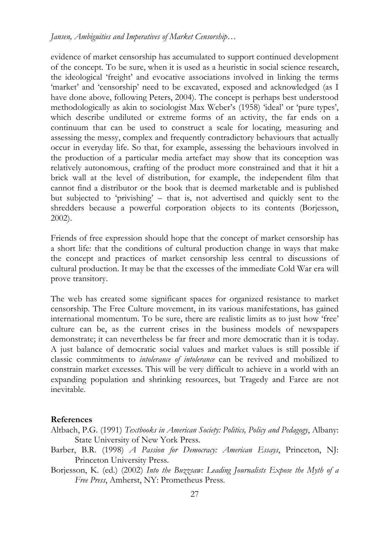evidence of market censorship has accumulated to support continued development of the concept. To be sure, when it is used as a heuristic in social science research, the ideological 'freight' and evocative associations involved in linking the terms 'market' and 'censorship' need to be excavated, exposed and acknowledged (as I have done above, following Peters, 2004). The concept is perhaps best understood methodologically as akin to sociologist Max Weber's (1958) 'ideal' or 'pure types', which describe undiluted or extreme forms of an activity, the far ends on a continuum that can be used to construct a scale for locating, measuring and assessing the messy, complex and frequently contradictory behaviours that actually occur in everyday life. So that, for example, assessing the behaviours involved in the production of a particular media artefact may show that its conception was relatively autonomous, crafting of the product more constrained and that it hit a brick wall at the level of distribution, for example, the independent film that cannot find a distributor or the book that is deemed marketable and is published but subjected to 'privishing' – that is, not advertised and quickly sent to the shredders because a powerful corporation objects to its contents (Borjesson, 2002).

Friends of free expression should hope that the concept of market censorship has a short life: that the conditions of cultural production change in ways that make the concept and practices of market censorship less central to discussions of cultural production. It may be that the excesses of the immediate Cold War era will prove transitory.

The web has created some significant spaces for organized resistance to market censorship. The Free Culture movement, in its various manifestations, has gained international momentum. To be sure, there are realistic limits as to just how 'free' culture can be, as the current crises in the business models of newspapers demonstrate; it can nevertheless be far freer and more democratic than it is today. A just balance of democratic social values and market values is still possible if classic commitments to *intolerance of intolerance* can be revived and mobilized to constrain market excesses. This will be very difficult to achieve in a world with an expanding population and shrinking resources, but Tragedy and Farce are not inevitable.

#### **References**

- Altbach, P.G. (1991) *Textbooks in American Society: Politics, Policy and Pedagogy*, Albany: State University of New York Press.
- Barber, B.R. (1998) *A Passion for Democracy: American Essays*, Princeton, NJ: Princeton University Press.
- Borjesson, K. (ed.) (2002) *Into the Buzzsaw: Leading Journalists Expose the Myth of a Free Press*, Amherst, NY: Prometheus Press.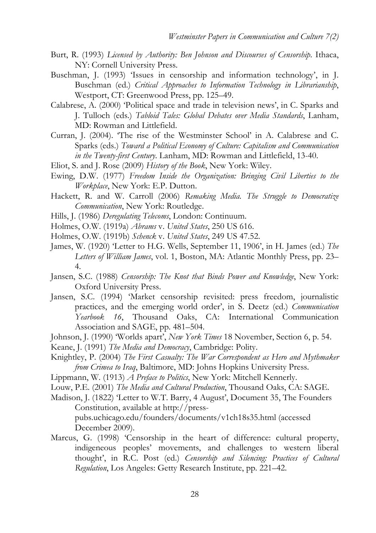- Burt, R. (1993) *Licensed by Authority: Ben Johnson and Discourses of Censorship*. Ithaca, NY: Cornell University Press.
- Buschman, J. (1993) 'Issues in censorship and information technology', in J. Buschman (ed.) *Critical Approaches to Information Technology in Librarianship*, Westport, CT: Greenwood Press, pp. 125–49.
- Calabrese, A. (2000) 'Political space and trade in television news', in C. Sparks and J. Tulloch (eds.) *Tabloid Tales: Global Debates over Media Standards*, Lanham, MD: Rowman and Littlefield.
- Curran, J. (2004). 'The rise of the Westminster School' in A. Calabrese and C. Sparks (eds.) *Toward a Political Economy of Culture: Capitalism and Communication in the Twenty-first Century*. Lanham, MD: Rowman and Littlefield, 13-40.
- Eliot, S. and J. Rose (2009) *History of the Book*, New York: Wiley.
- Ewing, D.W. (1977) *Freedom Inside the Organization: Bringing Civil Liberties to the Workplace*, New York: E.P. Dutton.
- Hackett, R. and W. Carroll (2006) *Remaking Media. The Struggle to Democratize Communication*, New York: Routledge.
- Hills, J. (1986) *Deregulating Telecoms*, London: Continuum.
- Holmes, O.W. (1919a) *Abrams* v. *United States*, 250 US 616.
- Holmes, O.W. (1919b) *Schenck* v. *United States*, 249 US 47.52.
- James, W. (1920) 'Letter to H.G. Wells, September 11, 1906', in H. James (ed.) *The Letters of William James*, vol. 1, Boston, MA: Atlantic Monthly Press, pp. 23– 4.
- Jansen, S.C. (1988) *Censorship: The Knot that Binds Power and Knowledge*, New York: Oxford University Press.
- Jansen, S.C. (1994) 'Market censorship revisited: press freedom, journalistic practices, and the emerging world order', in S. Deetz (ed.) *Communication Yearbook 16*, Thousand Oaks, CA: International Communication Association and SAGE, pp. 481–504.
- Johnson, J. (1990) 'Worlds apart', *New York Times* 18 November, Section 6, p. 54.
- Keane, J. (1991) *The Media and Democracy*, Cambridge: Polity.
- Knightley, P. (2004) *The First Casualty: The War Correspondent as Hero and Mythmaker from Crimea to Iraq*, Baltimore, MD: Johns Hopkins University Press.
- Lippmann, W. (1913) *A Preface to Politics*, New York: Mitchell Kennerly.
- Louw, P.E. (2001) *The Media and Cultural Production*, Thousand Oaks, CA: SAGE.
- Madison, J. (1822) 'Letter to W.T. Barry, 4 August', Document 35, The Founders Constitution, available at http://presspubs.uchicago.edu/founders/documents/v1ch18s35.html (accessed December 2009).
- Marcus, G. (1998) 'Censorship in the heart of difference: cultural property, indigeneous peoples' movements, and challenges to western liberal thought', in R.C. Post (ed.) *Censorship and Silencing: Practices of Cultural Regulation*, Los Angeles: Getty Research Institute, pp. 221–42.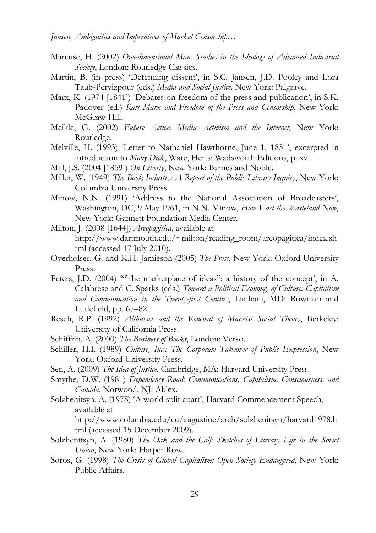- Marcuse, H. (2002) *One-dimensional Man: Studies in the Ideology of Advanced Industrial Society*, London: Routledge Classics.
- Martin, B. (in press) 'Defending dissent', in S.C. Jansen, J.D. Pooley and Lora Taub-Pervizpour (eds.) *Media and Social Justice*. New York: Palgrave.
- Marx, K. (1974 [1841]) 'Debates on freedom of the press and publication', in S.K. Padover (ed.) *Karl Marx and Freedom of the Press and Censorship*, New York: McGraw-Hill.
- Meikle, G. (2002) *Future Active: Media Activism and the Internet*, New York: Routledge.
- Melville, H. (1993) 'Letter to Nathaniel Hawthorne, June 1, 1851', excerpted in introduction to *Moby Dick*, Ware, Herts: Wadsworth Editions, p. xvi.
- Mill, J.S. (2004 [1859]) *On Liberty*, New York: Barnes and Noble.
- Miller, W. (1949) *The Book Industry: A Report of the Public Library Inquiry*, New York: Columbia University Press.
- Minow, N.N. (1991) 'Address to the National Association of Broadcasters', Washington, DC, 9 May 1961, in N.N. Minow, *How Vast the Wasteland Now*, New York: Gannett Foundation Media Center.

Milton, J. (2008 [1644]) *Areopagitica*, available at http://www.dartmouth.edu/~milton/reading\_room/areopagitica/index.sh tml (accessed 17 July 2010).

- Overholser, G. and K.H. Jamieson (2005) *The Press*, New York: Oxford University Press.
- Peters, J.D. (2004) '"The marketplace of ideas": a history of the concept', in A. Calabrese and C. Sparks (eds.) *Toward a Political Economy of Culture: Capitalism and Communication in the Twenty-first Century*, Lanham, MD: Rowman and Littlefield, pp. 65–82.
- Resch, R.P. (1992) *Althusser and the Renewal of Marxist Social Theory*, Berkeley: University of California Press.
- Schiffrin, A. (2000) *The Business of Books*, London: Verso.
- Schiller, H.I. (1989) *Culture, Inc.: The Corporate Takeover of Public Expression*, New York: Oxford University Press.
- Sen, A. (2009) *The Idea of Justice*, Cambridge, MA: Harvard University Press.
- Smythe, D.W. (1981) *Dependency Road: Communications, Capitalism, Consciousness, and Canada*, Norwood, NJ: Ablex.
- Solzhenitsyn, A. (1978) 'A world split apart', Harvard Commencement Speech, available at

http://www.columbia.edu/cu/augustine/arch/solzhenitsyn/harvard1978.h tml (accessed 15 December 2009).

- Solzhenitsyn, A. (1980) *The Oak and the Calf: Sketches of Literary Life in the Soviet Union*, New York: Harper Row.
- Soros, G. (1998) *The Crisis of Global Capitalism: Open Society Endangered*, New York: Public Affairs.